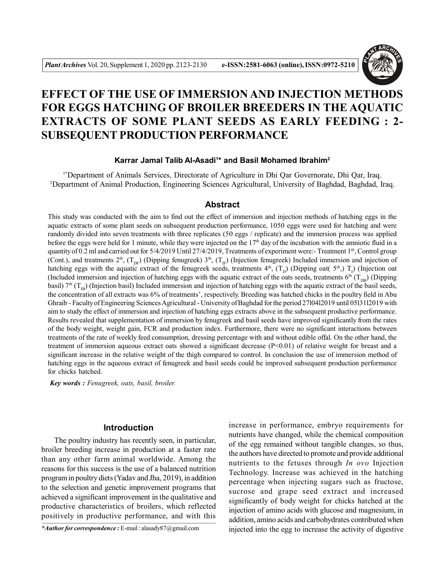

# **EFFECT OF THE USE OF IMMERSION AND INJECTION METHODS FOR EGGS HATCHING OF BROILER BREEDERS IN THE AQUATIC EXTRACTS OF SOME PLANT SEEDS AS EARLY FEEDING : 2- SUBSEQUENT PRODUCTION PERFORMANCE**

## **Karrar Jamal Talib Al-Asadi<sup>1</sup> \* and Basil Mohamed Ibrahim<sup>2</sup>**

1\*Department of Animals Services, Directorate of Agriculture in Dhi Qar Governorate, Dhi Qar, Iraq. <sup>2</sup>Department of Animal Production, Engineering Sciences Agricultural, University of Baghdad, Baghdad, Iraq.

## **Abstract**

This study was conducted with the aim to find out the effect of immersion and injection methods of hatching eggs in the aquatic extracts of some plant seeds on subsequent production performance, 1050 eggs were used for hatching and were randomly divided into seven treatments with three replicates (50 eggs / replicate) and the immersion process was applied before the eggs were held for 1 minute, while they were injected on the  $17<sup>th</sup>$  day of the incubation with the amniotic fluid in a quantity of 0.2 ml and carried out for 5/4/2019 Until 27/4/2019, Treatments of experiment were:- Treatment 1<sup>th</sup>, Control group (Cont.), and treatments  $2<sup>th</sup>$ ,  $(T_{DF})$  (Dipping fenugreek)  $3<sup>th</sup>$ ,  $(T_{IF})$  (Injection fenugreek) Included immersion and injection of hatching eggs with the aquatic extract of the fenugreek seeds, treatments  $4<sup>th</sup>$ ,  $(T<sub>D</sub>)$  (Dipping oat( $5<sup>th</sup>$ ),  $T<sub>1</sub>$ ) (Injection oat (Included immersion and injection of hatching eggs with the aquatic extract of the oats seeds, treatments  $6<sup>th</sup>$  (T<sub>DB</sub>) (Dipping basil)  $7<sup>th</sup>$  (T<sub>IB</sub>) (Injection basil) Included immersion and injection of hatching eggs with the aquatic extract of the basil seeds, the concentration of all extracts was 6% of treatments', respectively. Breeding was hatched chicks in the poultry field in Abu Ghraib - Faculty of Engineering Sciences Agricultural - University of Baghdad for the period 27l04l2019 until 05l31l2019 with aim to study the effect of immersion and injection of hatching eggs extracts above in the subsequent productive performance. Results revealed that supplementation of immersion by fenugreek and basil seeds have improved significantly from the rates of the body weight, weight gain, FCR and production index. Furthermore, there were no significant interactions between treatments of the rate of weekly feed consumption, dressing percentage with and without edible offal. On the other hand, the treatment of immersion aqueous extract oats showed a significant decrease (P<0.01) of relative weight for breast and a significant increase in the relative weight of the thigh compared to control. In conclusion the use of immersion method of hatching eggs in the aqueous extract of fenugreek and basil seeds could be improved subsequent production performance for chicks hatched.

*Key words : Fenugreek, oats, basil, broiler.*

## **Introduction**

The poultry industry has recently seen, in particular, broiler breeding increase in production at a faster rate than any other farm animal worldwide. Among the reasons for this success is the use of a balanced nutrition program in poultry diets (Yadav and Jha, 2019), in addition to the selection and genetic improvement programs that achieved a significant improvement in the qualitative and productive characteristics of broilers, which reflected positively in productive performance, and with this

increase in performance, embryo requirements for nutrients have changed, while the chemical composition of the egg remained without tangible changes, so thus, the authors have directed to promote and provide additional nutrients to the fetuses through *In ovo* Injection Technology. Increase was achieved in the hatching percentage when injecting sugars such as fructose, sucrose and grape seed extract and increased significantly of body weight for chicks hatched at the injection of amino acids with glucose and magnesium, in addition, amino acids and carbohydrates contributed when injected into the egg to increase the activity of digestive

*<sup>\*</sup>Author for correspondence :* E-mail : alasady87@gmail.com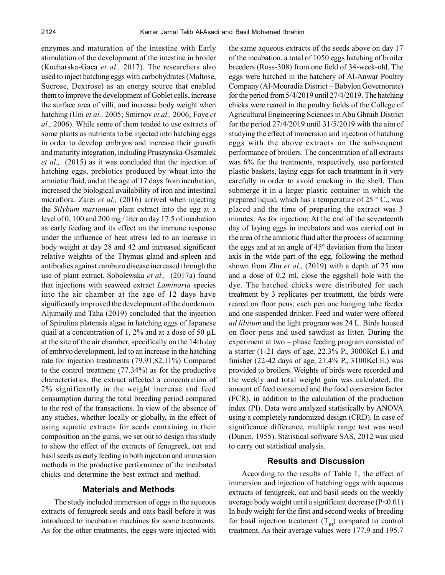enzymes and maturation of the intestine with Early stimulation of the development of the intestine in broiler (Kucharska-Gaca *et al.,* 2017). The researchers also used to inject hatching eggs with carbohydrates (Maltose, Sucrose, Dextrose) as an energy source that enabled them to improve the development of Goblet cells, increase the surface area of villi, and increase body weight when hatching (Uni *et al.,* 2005; Smirnov *et al.,* 2006; Foye *et al.,* 2006). While some of them tended to use extracts of some plants as nutrients to be injected into hatching eggs in order to develop embryos and increase their growth and maturity integration, including Pruszynska-Oszmalek *et al.,* (2015) as it was concluded that the injection of hatching eggs, prebiotics produced by wheat into the amniotic fluid, and at the age of 17 days from incubation, increased the biological availability of iron and intestinal microflora. Zarei *et al.,* (2016) arrived when injecting the *Silybum marianum* plant extract into the egg at a level of 0, 100 and 200 mg / liter on day 17.5 of incubation as early feeding and its effect on the immune response under the influence of heat stress led to an increase in body weight at day 28 and 42 and increased significant relative weights of the Thymus gland and spleen and antibodies against camburo disease increased through the use of plant extract. Sobolewska *et al.,* (2017a) found that injections with seaweed extract *Laminaria* species into the air chamber at the age of 12 days have significantly improved the development of the duodenum. Aljumaily and Taha (2019) concluded that the injection of Spirulina platensis algae in hatching eggs of Japanese quail at a concentration of 1, 2% and at a dose of 50  $\mu$ L at the site of the air chamber, specifically on the 14th day of embryo development, led to an increase in the hatching rate for injection treatments (79.91,82.11%) Compared to the control treatment (77.34%) as for the productive characteristics, the extract affected a concentration of 2% significantly in the weight increase and feed consumption during the total breeding period compared to the rest of the transactions. In view of the absence of any studies, whether locally or globally, in the effect of using aquatic extracts for seeds containing in their composition on the gums, we set out to design this study to show the effect of the extracts of fenugreek, oat and basil seeds as early feeding in both injection and immersion methods in the productive performance of the incubated chicks and determine the best extract and method.

### **Materials and Methods**

The study included immersion of eggs in the aqueous extracts of fenugreek seeds and oats basil before it was introduced to incubation machines for some treatments. As for the other treatments, the eggs were injected with the same aqueous extracts of the seeds above on day 17 of the incubation. a total of 1050 eggs hatching of broiler breeders (Ross-308) from one field of 34-week-old, The eggs were hatched in the hatchery of Al-Anwar Poultry Company (Al-Mouradia District – Babylon Governorate) for the period from 5/4/2019 until 27/4/2019. The hatching chicks were reared in the poultry fields of the College of Agricultural Engineering Sciences in Abu Ghraib District for the period 27/4/2019 until 31/5/2019 with the aim of studying the effect of immersion and injection of hatching eggs with the above extracts on the subsequent performance of broilers. The concentration of all extracts was 6% for the treatments, respectively, use perforated plastic baskets, laying eggs for each treatment in it very carefully in order to avoid cracking in the shell, Then submerge it in a larger plastic container in which the prepared liquid, which has a temperature of  $25 \degree C$ , was placed and the time of preparing the extract was 3 minutes. As for injection; At the end of the seventeenth day of laying eggs in incubators and was carried out in the area of the amniotic fluid after the process of scanning the eggs and at an angle of 45º deviation from the linear axis in the wide part of the egg, following the method shown from Zhu *et al.,* (2019) with a depth of 25 mm and a dose of 0.2 ml, close the eggshell hole with the dye. The hatched chicks were distributed for each treatment by 3 replicates per treatment, the birds were reared on floor pens, each pen one hanging tube feeder and one suspended drinker. Feed and water were offered *ad libitum* and the light program was 24 L. Birds housed on floor pens and used sawdust as litter. During the experiment at two – phase feeding program consisted of a starter (1-21 days of age, 22.3% P., 3000Kcl E.) and finisher (22-42 days of age, 21.4% P., 3100Kcl E.) was provided to broilers. Weights of birds were recorded and the weekly and total weight gain was calculated, the amount of feed consumed and the food conversion factor (FCR), in addition to the calculation of the production index (PI). Data were analyzed statistically by ANOVA using a completely randomized design (CRD). In case of significance difference, multiple range test was used (Duncn, 1955). Statistical software SAS, 2012 was used to carry out statistical analysis.

### **Results and Discussion**

According to the results of Table 1, the effect of immersion and injection of hatching eggs with aqueous extracts of fenugreek, oat and basil seeds on the weekly average body weight until a significant decrease (P<0.01) In body weight for the first and second weeks of breeding for basil injection treatment  $(T_{\text{IR}})$  compared to control treatment, As their average values were 177.9 and 195.7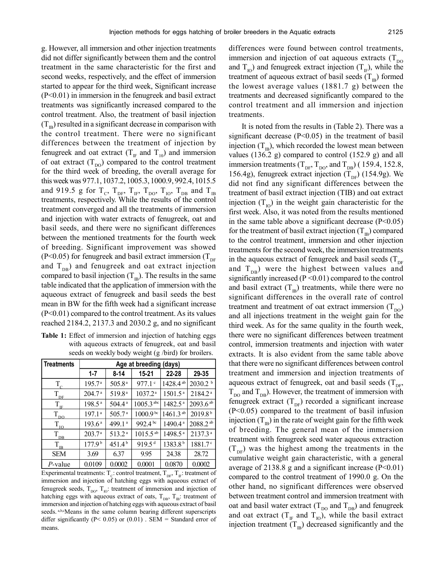g. However, all immersion and other injection treatments did not differ significantly between them and the control treatment in the same characteristic for the first and second weeks, respectively, and the effect of immersion started to appear for the third week, Significant increase (P<0.01) in immersion in the fenugreek and basil extract treatments was significantly increased compared to the control treatment. Also, the treatment of basil injection  $(T_{\text{in}})$  resulted in a significant decrease in comparison with the control treatment. There were no significant differences between the treatment of injection by fenugreek and oat extract ( $T_{IF}$  and  $T_{10}$ ) and immersion of oat extract  $(T_{\text{po}})$  compared to the control treatment for the third week of breeding, the overall average for this week was 977.1, 1037.2, 1005.3, 1000.9, 992.4, 1015.5 and 919.5 g for  $T_c$ ,  $T_{DF}$ ,  $T_F$ ,  $T_{DO}$ ,  $T_{IO}$ ,  $T_{DB}$  and  $T_B$ treatments, respectively. While the results of the control treatment converged and all the treatments of immersion and injection with water extracts of fenugreek, oat and basil seeds, and there were no significant differences between the mentioned treatments for the fourth week of breeding. Significant improvement was showed (P<0.05) for fenugreek and basil extract immersion ( $T_{DE}$ ) and  $T_{DB}$ ) and fenugreek and oat extract injection compared to basil injection  $(T_{IB})$ . The results in the same table indicated that the application of immersion with the aqueous extract of fenugreek and basil seeds the best mean in BW for the fifth week had a significant increase (P<0.01) compared to the control treatment. As its values reached 2184.2, 2137.3 and 2030.2 g, and no significant

**Table 1:** Effect of immersion and injection of hatching eggs with aqueous extracts of fenugreek, oat and basil seeds on weekly body weight (g /bird) for broilers.

| <b>Treatments</b>                              | Age at breeding (days) |                    |                         |                        |                        |
|------------------------------------------------|------------------------|--------------------|-------------------------|------------------------|------------------------|
|                                                | $1 - 7$                | 8-14               | 15-21                   | 22-28                  | 29-35                  |
| $T_c$                                          | 195.7 <sup>a</sup>     | 505.8a             | 977.1 <sup>c</sup>      | $1428.4$ <sup>ab</sup> | 2030.2 b               |
| $\rm T_{\underline{D} \underline{F}}$          | 204.7 <sup>a</sup>     | 519.8 <sup>a</sup> | 1037.2 <sup>a</sup>     | 1501.5 <sup>a</sup>    | 2184.2 <sup>a</sup>    |
| $T_{\underline{\textbf{\tiny IF}}}$            | 198.5 <sup>a</sup>     | 504.4 <sup>a</sup> | $1005.3$ <sup>abc</sup> | 1482.5 <sup>a</sup>    | $2093.6$ <sup>ab</sup> |
| $T_{_{\rm DO}}$                                | 197.1 <sup>a</sup>     | 505.7 <sup>a</sup> | 1000.9 <sup>bc</sup>    | $1461.3^{ab}$          | 2019.8 <sup>b</sup>    |
| $T_{\underline{\text{IO}}}$                    | 193.6 <sup>a</sup>     | 499.1 <sup>a</sup> | 992.4 bc                | 1490.4 <sup>a</sup>    | 2088.2 <sup>ab</sup>   |
| $T_{\underline{\textrm{DB}}}$                  | 203.7 <sup>a</sup>     | 513.2 <sup>a</sup> | $1015.5^{ab}$           | 1498.5 <sup>a</sup>    | 2137.3 <sup>a</sup>    |
| $T_{_{\scriptscriptstyle\rm I\hspace{-1pt}B}}$ | 177.9 <sup>b</sup>     | 451.4 <sup>b</sup> | 919.5 <sup>d</sup>      | 1383.8 <sup>b</sup>    | $1881.7^{\circ}$       |
| <b>SEM</b>                                     | 3.69                   | 6.37               | 9.95                    | 24.38                  | 28.72                  |
| P-value                                        | 0.0109                 | 0.0002             | 0.0001                  | 0.0870                 | 0.0002                 |

Experimental treatments:  $T_c$ : control treatment,  $T_{DF}$ ,  $T_F$ : treatment of immersion and injection of hatching eggs with aqueous extract of fenugreek seeds,  $T_{\text{po}}$ ,  $T_{\text{lo}}$ : treatment of immersion and injection of hatching eggs with aqueous extract of oats,  $T_{DB}$ ,  $T_{IB}$ : treatment of immersion and injection of hatching eggs with aqueous extract of basil seeds. a,b,cMeans in the same column bearing different superscripts differ significantly ( $P < 0.05$ ) or (0.01). SEM = Standard error of means.

differences were found between control treatments, immersion and injection of oat aqueous extracts  $(T_{DO}$ and  $T_{\text{IO}}$ ) and fenugreek extract injection  $(T_{\text{IF}})$ , while the treatment of aqueous extract of basil seeds  $(T_{\text{IB}})$  formed the lowest average values (1881.7 g) between the treatments and decreased significantly compared to the control treatment and all immersion and injection treatments.

It is noted from the results in (Table 2). There was a significant decrease (P<0.05) in the treatment of basil injection  $(T_{\text{IB}})$ , which recorded the lowest mean between values (136.2 g) compared to control (152.9 g) and all immersion treatments ( $T_{DF}$ ,  $T_{DO}$ , and  $T_{DB}$ ) ( 159.4, 152.8, 156.4g), fenugreek extract injection  $(T_{\text{DF}})$  (154.9g). We did not find any significant differences between the treatment of basil extract injection (TIB) and oat extract injection  $(T_{10})$  in the weight gain characteristic for the first week. Also, it was noted from the results mentioned in the same table above a significant decrease  $(P<0.05)$ for the treatment of basil extract injection  $(T_{\text{IB}})$  compared to the control treatment, immersion and other injection treatments for the second week, the immersion treatments in the aqueous extract of fenugreek and basil seeds  $(T_{DE}$ and  $T_{\text{p},\text{p}}$  were the highest between values and significantly increased (P <0.01) compared to the control and basil extract  $(T_{IR})$  treatments, while there were no significant differences in the overall rate of control treatment and treatment of oat extract immersion  $(T_{\text{no}})$ and all injections treatment in the weight gain for the third week. As for the same quality in the fourth week, there were no significant differences between treatment control, immersion treatments and injection with water extracts. It is also evident from the same table above that there were no significant differences between control treatment and immersion and injection treatments of aqueous extract of fenugreek, oat and basil seeds  $(T_{DE},$  $T_{\text{po}}$  and  $T_{\text{DB}}$ ). However, the treatment of immersion with fenugreek extract  $(T_{DF})$  recorded a significant increase (P<0.05) compared to the treatment of basil infusion injection  $(T_{\text{in}})$  in the rate of weight gain for the fifth week of breeding. The general mean of the immersion treatment with fenugreek seed water aqueous extraction  $(T_{DE})$  was the highest among the treatments in the cumulative weight gain characteristic, with a general average of 2138.8 g and a significant increase  $(P<0.01)$ compared to the control treatment of 1990.0 g. On the other hand, no significant differences were observed between treatment control and immersion treatment with oat and basil water extract ( $T_{\text{DO}}$  and  $T_{\text{DB}}$ ) and fenugreek and oat extract  $(T_{IF}$  and  $T_{IO}$ ), while the basil extract injection treatment  $(T_{\text{IB}})$  decreased significantly and the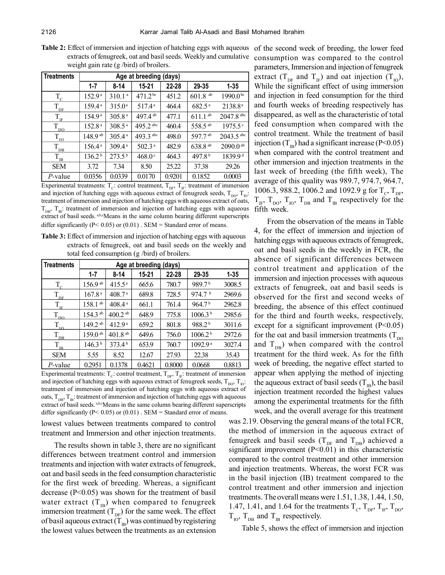| Treatments                              | Age at breeding (days) |                    |                     |           |                       |                         |
|-----------------------------------------|------------------------|--------------------|---------------------|-----------|-----------------------|-------------------------|
|                                         | $1 - 7$                | $8 - 14$           | $15 - 21$           | $22 - 28$ | 29-35                 | $1 - 35$                |
| $T_c$                                   | 152.9 <sup>a</sup>     | 310.1 <sup>a</sup> | 471.2 <sup>bc</sup> | 451.2     | $601.8$ <sup>ab</sup> | 1990.0 <sup>bc</sup>    |
| $\rm T_{\underline{D}F}$                | 159.4 <sup>a</sup>     | 315.0 <sup>a</sup> | 517.4a              | 464.4     | $682.5^{\text{a}}$    | 2138.8 <sup>a</sup>     |
| $T_{\underline{\textbf{I}^F}}$          | 154.9 <sup>a</sup>     | 305.8a             | 497.4 ab            | 477.1     | $611.1$ ab            | $2047.8$ <sup>abc</sup> |
| $T_{\underline{DO}}$                    | 152.8 <sup>a</sup>     | $308.5^{\text{a}}$ | 495.2 abc           | 460.4     | 558.5 <sup>ab</sup>   | $1975.5^{\circ}$        |
| $T_{\underline{\text{10}}}$             | 148.9 <sup> ab</sup>   | 305.4a             | 493.3 abc           | 498.0     | 597.7 ab              | $2043.5$ <sup>abc</sup> |
| $T_{\underline{DB}}$                    | $156.4^{\text{a}}$     | 309.4a             | 502.3 <sup>a</sup>  | 482.9     | $638.8^{ab}$          | $2090.0$ <sup>ab</sup>  |
| $T_{\underline{\scriptscriptstyle IB}}$ | 136.2 <sup>b</sup>     | 273.5 <sup>b</sup> | 468.0°              | 464.3     | 497.8 <sup>b</sup>    | 1839.9 <sup>d</sup>     |
| <b>SEM</b>                              | 3.72                   | 7.34               | 8.50                | 25.22     | 37.38                 | 29.26                   |
| P-value                                 | 0.0356                 | 0.0339             | 0.0170              | 0.9201    | 0.1852                | 0.0003                  |

**Table 2:** Effect of immersion and injection of hatching eggs with aqueous extracts of fenugreek, oat and basil seeds. Weekly and cumulative weight gain rate (g /bird) of broilers.

Experimental treatments:  $T_c$ : control treatment,  $T_{DF}$ ,  $T_F$ : treatment of immersion and injection of hatching eggs with aqueous extract of fenugreek seeds,  $T_{\text{DO}}$ ,  $T_{\text{IO}}$ . treatment of immersion and injection of hatching eggs with aqueous extract of oats,  $T_{DB}$ ,  $T_B$ : treatment of immersion and injection of hatching eggs with aqueous extract of basil seeds. a,b,cMeans in the same column bearing different superscripts differ significantly ( $P < 0.05$ ) or (0.01). SEM = Standard error of means.

**Table 3:** Effect of immersion and injection of hatching eggs with aqueous extracts of fenugreek, oat and basil seeds on the weekly and total feed consumption (g /bird) of broilers.

| <b>Treatments</b>                                | Age at breeding (days) |                       |           |        |                     |          |
|--------------------------------------------------|------------------------|-----------------------|-----------|--------|---------------------|----------|
|                                                  | $1 - 7$                | $8 - 14$              | $15 - 21$ | 22-28  | 29-35               | $1 - 35$ |
| $T_c$                                            | $156.9$ <sup>ab</sup>  | $415.5^{\rm a}$       | 665.6     | 780.7  | 989.7 <sup>b</sup>  | 3008.5   |
| $\rm T_{\rm DE}$                                 | 167.8 <sup>a</sup>     | 408.7 <sup>a</sup>    | 689.8     | 728.5  | 974.7 b             | 2969.6   |
| $\rm T_{\scriptscriptstyle \rm I\hspace{-1pt}F}$ | $158.1^{ab}$           | 408.4 <sup>a</sup>    | 661.1     | 761.4  | 964.7 <sup>b</sup>  | 2962.8   |
| $T_{_{\rm DD}}$                                  | $154.3$ <sup>ab</sup>  | $400.2$ <sup>ab</sup> | 648.9     | 775.8  | 1006.3 <sup>b</sup> | 2985.6   |
| $T_{\text{LO}}$                                  | $149.2^{ab}$           | 412.9 <sup>a</sup>    | 659.2     | 801.8  | 988.2 <sup>b</sup>  | 3011.6   |
| $T^{}_{\rm DE}$                                  | $159.0$ <sup>ab</sup>  | $401.8$ <sup>ab</sup> | 649.6     | 756.0  | 1006.2 <sup>b</sup> | 2972.6   |
| $T_{IB}$                                         | 146.3 <sup>b</sup>     | 373.4 <sup>b</sup>    | 653.9     | 760.7  | 1092.9 <sup>a</sup> | 3027.4   |
| <b>SEM</b>                                       | 5.55                   | 8.52                  | 12.67     | 27.93  | 22.38               | 35.43    |
| P-value                                          | 0.2951                 | 0.1378                | 0.4621    | 0.8000 | 0.0668              | 0.8813   |

Experimental treatments:  $T_c$ : control treatment,  $T_{DF}$ ,  $T_F$ : treatment of immersion and injection of hatching eggs with aqueous extract of fenugreek seeds,  $T_{\text{DO}}$ ,  $T_{\text{IO}}$ : treatment of immersion and injection of hatching eggs with aqueous extract of oats,  $T_{DB}$ ,  $T_B$ : treatment of immersion and injection of hatching eggs with aqueous extract of basil seeds. a,b,cMeans in the same column bearing different superscripts differ significantly ( $P < 0.05$ ) or (0.01). SEM = Standard error of means.

lowest values between treatments compared to control treatment and Immersion and other injection treatments.

The results shown in table 3, there are no significant differences between treatment control and immersion treatments and injection with water extracts of fenugreek, oat and basil seeds in the feed consumption characteristic for the first week of breeding. Whereas, a significant decrease (P<0.05) was shown for the treatment of basil water extract  $(T_{IB})$  when compared to fenugreek immersion treatment  $(T_{\text{DP}})$  for the same week. The effect of basil aqueous extract  $(\dot{T}_{IB})$  was continued by registering the lowest values between the treatments as an extension of the second week of breeding, the lower feed consumption was compared to the control parameters, Immersion and injection of fenugreek extract ( $T_{DE}$  and  $T_{IE}$ ) and oat injection ( $T_{ID}$ ), While the significant effect of using immersion and injection in feed consumption for the third and fourth weeks of breeding respectively has disappeared, as well as the characteristic of total feed consumption when compared with the control treatment. While the treatment of basil injection (T<sub>IB</sub>) had a significant increase (P<0.05) when compared with the control treatment and other immersion and injection treatments in the last week of breeding (the fifth week), The average of this quality was 989.7, 974.7, 964.7, 1006.3, 988.2, 1006.2 and 1092.9 g for  $T_c$ ,  $T_{DF}$ ,  $T_{IF}$ ,  $T_{DO}$ ,  $T_{IO}$ ,  $T_{DB}$  and  $T_{IB}$  respectively for the fifth week.

From the observation of the means in Table 4, for the effect of immersion and injection of hatching eggs with aqueous extracts of fenugreek, oat and basil seeds in the weekly in FCR, the absence of significant differences between control treatment and application of the immersion and injection processes with aqueous extracts of fenugreek, oat and basil seeds is observed for the first and second weeks of breeding, the absence of this effect continued for the third and fourth weeks, respectively, except for a significant improvement  $(P<0.05)$ for the oat and basil immersion treatments  $(T_{\text{no}})$ and  $T_{DB}$ ) when compared with the control treatment for the third week. As for the fifth week of breeding, the negative effect started to appear when applying the method of injecting the aqueous extract of basil seeds  $(T_B)$ , the basil injection treatment recorded the highest values among the experimental treatments for the fifth week, and the overall average for this treatment

was 2.19. Observing the general means of the total FCR, the method of immersion in the aqueous extract of fenugreek and basil seeds ( $T_{DF}$  and  $T_{DB}$ ) achieved a significant improvement  $(P<0.01)$  in this characteristic compared to the control treatment and other immersion and injection treatments. Whereas, the worst FCR was in the basil injection (IB) treatment compared to the control treatment and other immersion and injection treatments. The overall means were 1.51, 1.38, 1.44, 1.50, 1.47, 1.41, and 1.64 for the treatments  $T_c$ ,  $T_{DF}$ ,  $T_F$ ,  $T_{DO}$ ,  $T_{\text{IO}}$ ,  $T_{\text{DB}}$  and  $T_{\text{IB}}$  respectively.

Table 5, shows the effect of immersion and injection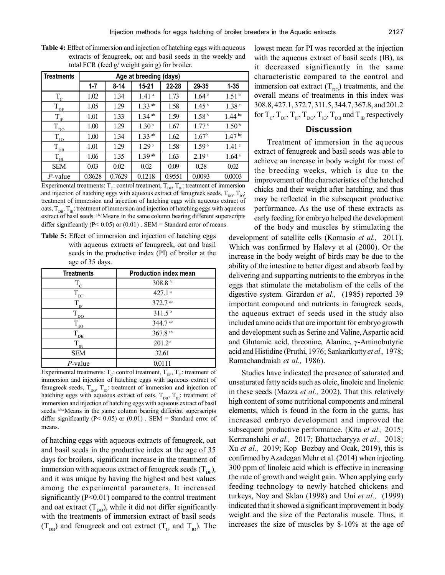| <b>Treatments</b>                | Age at breeding (days) |          |                   |        |                   |                    |
|----------------------------------|------------------------|----------|-------------------|--------|-------------------|--------------------|
|                                  | $1 - 7$                | $8 - 14$ | 15-21             | 22-28  | 29-35             | $1 - 35$           |
| $T_c$                            | 1.02                   | 1.34     | 1.41 <sup>a</sup> | 1.73   | 1.64 <sup>b</sup> | 1.51 <sup>b</sup>  |
| $\rm T_{\underline{DF}}$         | 1.05                   | 1.29     | $1.33^{ab}$       | 1.58   | 1.45 <sup>b</sup> | 1.38 <sup>c</sup>  |
| $T_{\rm \scriptscriptstyle LF}$  | 1.01                   | 1.33     | $1.34$ ab         | 1.59   | 1.58 <sup>b</sup> | 1.44 <sup>bc</sup> |
| $T_{\underline{D}\underline{O}}$ | 1.00                   | 1.29     | 1.30 <sup>b</sup> | 1.67   | 1.77 <sup>b</sup> | 1.50 <sup>b</sup>  |
| $\rm T_{\underline{IO}}$         | 1.00                   | 1.34     | $1.33^{ab}$       | 1.62   | 1.67 <sup>b</sup> | 1.47 <sup>bc</sup> |
| $T_{\underline{\textrm{DB}}}$    | 1.01                   | 1.29     | 1.29 <sup>b</sup> | 1.58   | 1.59 <sup>b</sup> | 1.41 <sup>c</sup>  |
| T.<br><b>IB</b>                  | 1.06                   | 1.35     | $1.39^{ab}$       | 1.63   | 2.19 <sup>a</sup> | 1.64 <sup>a</sup>  |
| <b>SEM</b>                       | 0.03                   | 0.02     | 0.02              | 0.09   | 0.28              | 0.02               |
| P-value                          | 0.8628                 | 0.7629   | 0.1218            | 0.9551 | 0.0093            | 0.0003             |

**Table 4:** Effect of immersion and injection of hatching eggs with aqueous extracts of fenugreek, oat and basil seeds in the weekly and total FCR (feed g/ weight gain g) for broiler.

Experimental treatments:  $T_c$ : control treatment,  $T_{DF}$ ,  $T_F$ : treatment of immersion and injection of hatching eggs with aqueous extract of fenugreek seeds,  $T_{\text{DO}}$ ,  $T_{\text{IO}}$ . treatment of immersion and injection of hatching eggs with aqueous extract of oats,  $T_{DB}$ ,  $T_B$ : treatment of immersion and injection of hatching eggs with aqueous extract of basil seeds. a,b,cMeans in the same column bearing different superscripts differ significantly ( $P < 0.05$ ) or (0.01). SEM = Standard error of means.

**Table 5:** Effect of immersion and injection of hatching eggs with aqueous extracts of fenugreek, oat and basil seeds in the productive index (PI) of broiler at the age of 35 days.

| <b>Treatments</b>        | <b>Production index mean</b> |
|--------------------------|------------------------------|
|                          | 308.8 b                      |
| $\rm I_{DF}$             | 427.1 <sup>a</sup>           |
| $\mathbb{T}_{\text{IF}}$ | 372.7 ab                     |
| $\rm T_{\underline{DO}}$ | 311.5 <sup>b</sup>           |
| $T_{\underline{I0}}$     | 344.7 ab                     |
| $DB$                     | 367.8 <sup>ab</sup>          |
| <b>IB</b>                | $201.2$ <sup>c</sup>         |
| <b>SEM</b>               | 32.61                        |
| P-value                  | 0.0111                       |

Experimental treatments:  $T_c$ : control treatment,  $T_{DF}$ ,  $T_F$ : treatment of immersion and injection of hatching eggs with aqueous extract of fenugreek seeds,  $T_{DO}$ ,  $T_{IO}$ : treatment of immersion and injection of hatching eggs with aqueous extract of oats,  $T_{DR}$ ,  $T_{IR}$ : treatment of immersion and injection of hatching eggs with aqueous extract of basil seeds. a,b,cMeans in the same column bearing different superscripts differ significantly ( $P < 0.05$ ) or (0.01). SEM = Standard error of means.

of hatching eggs with aqueous extracts of fenugreek, oat and basil seeds in the productive index at the age of 35 days for broilers, significant increase in the treatment of immersion with aqueous extract of fenugreek seeds  $(T_{\text{DF}})$ , and it was unique by having the highest and best values among the experimental parameters, It increased significantly (P<0.01) compared to the control treatment and oat extract  $(T_{\text{no}})$ , while it did not differ significantly with the treatments of immersion extract of basil seeds  $(T_{DB})$  and fenugreek and oat extract  $(T_{IF}$  and  $T_{IO})$ . The

lowest mean for PI was recorded at the injection with the aqueous extract of basil seeds (IB), as it decreased significantly in the same characteristic compared to the control and immersion oat extract  $(T_{\text{DO}})$  treatments, and the overall means of treatments in this index was 308.8, 427.1, 372.7, 311.5, 344.7, 367.8, and 201.2 for  $T_c$ ,  $T_{\text{DF}}$ ,  $T_{\text{IF}}$ ,  $T_{\text{DO}}$ ,  $T_{\text{IO}}$ ,  $T_{\text{DB}}$  and  $T_{\text{IB}}$  respectively

## **Discussion**

Treatment of immersion in the aqueous extract of fenugreek and basil seeds was able to achieve an increase in body weight for most of the breeding weeks, which is due to the improvement of the characteristics of the hatched chicks and their weight after hatching, and thus may be reflected in the subsequent productive performance. As the use of these extracts as early feeding for embryo helped the development of the body and muscles by stimulating the

development of satellite cells (Kornasio *et al.,* 2011). Which was confirmed by Halevy et al (2000). Or the increase in the body weight of birds may be due to the ability of the intestine to better digest and absorb feed by delivering and supporting nutrients to the embryos in the eggs that stimulate the metabolism of the cells of the digestive system. Girardon *et al.,* (1985) reported 39 important compound and nutrients in fenugreek seeds, the aqueous extract of seeds used in the study also included amino acids that are important for embryo growth and development such as Serine and Valine, Aspartic acid and Glutamic acid, threonine, Alanine,  $\gamma$ -Aminobutyric acid and Histidine (Pruthi, 1976; Sankarikutty *et al.,* 1978; Ramachandraiah *et al.,* 1986).

Studies have indicated the presence of saturated and unsaturated fatty acids such as oleic, linoleic and linolenic in these seeds (Mazza *et al.,* 2002). That this relatively high content of some nutritional components and mineral elements, which is found in the form in the gums, has increased embryo development and improved the subsequent productive performance. (Kita *et al.,* 2015; Kermanshahi *et al.,* 2017; Bhattacharyya *et al.,* 2018; Xu *et al.,* 2019; Kop Bozbay and Ocak, 2019), this is confirmed by Azadegan Mehr et al. (2014) when injecting 300 ppm of linoleic acid which is effective in increasing the rate of growth and weight gain. When applying early feeding technology to newly hatched chickens and turkeys, Noy and Sklan (1998) and Uni *et al.,* (1999) indicated that it showed a significant improvement in body weight and the size of the Pectoralis muscle. Thus, it increases the size of muscles by 8-10% at the age of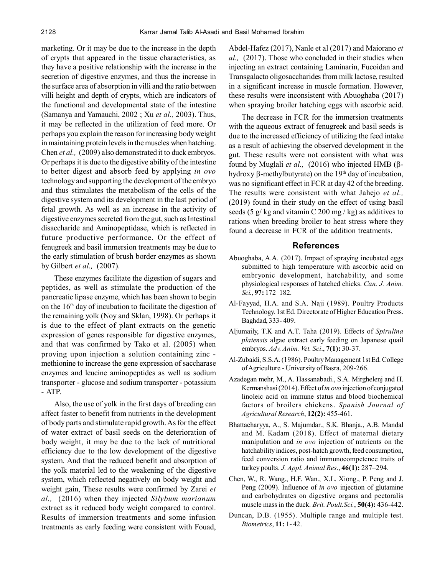marketing. Or it may be due to the increase in the depth of crypts that appeared in the tissue characteristics, as they have a positive relationship with the increase in the secretion of digestive enzymes, and thus the increase in the surface area of absorption in villi and the ratio between villi height and depth of crypts, which are indicators of the functional and developmental state of the intestine (Samanya and Yamauchi, 2002 ; Xu *et al.,* 2003). Thus, it may be reflected in the utilization of feed more. Or perhaps you explain the reason for increasing body weight in maintaining protein levels in the muscles when hatching. Chen *et al.,* (2009) also demonstrated it to duck embryos. Or perhaps it is due to the digestive ability of the intestine to better digest and absorb feed by applying *in ovo* technology and supporting the development of the embryo and thus stimulates the metabolism of the cells of the digestive system and its development in the last period of fetal growth. As well as an increase in the activity of digestive enzymes secreted from the gut, such as Intestinal disaccharide and Aminopeptidase, which is reflected in future productive performance. Or the effect of fenugreek and basil immersion treatments may be due to the early stimulation of brush border enzymes as shown by Gilbert *et al.,* (2007).

These enzymes facilitate the digestion of sugars and peptides, as well as stimulate the production of the pancreatic lipase enzyme, which has been shown to begin on the 16<sup>th</sup> day of incubation to facilitate the digestion of the remaining yolk (Noy and Sklan, 1998). Or perhaps it is due to the effect of plant extracts on the genetic expression of genes responsible for digestive enzymes, and that was confirmed by Tako et al. (2005) when proving upon injection a solution containing zinc methionine to increase the gene expression of saccharase enzymes and leucine aminopeptides as well as sodium transporter - glucose and sodium transporter - potassium - ATP.

Also, the use of yolk in the first days of breeding can affect faster to benefit from nutrients in the development of body parts and stimulate rapid growth. As for the effect of water extract of basil seeds on the deterioration of body weight, it may be due to the lack of nutritional efficiency due to the low development of the digestive system. And that the reduced benefit and absorption of the yolk material led to the weakening of the digestive system, which reflected negatively on body weight and weight gain, These results were confirmed by Zarei *et al.,* (2016) when they injected *Silybum marianum* extract as it reduced body weight compared to control. Results of immersion treatments and some infusion treatments as early feeding were consistent with Fouad,

Abdel-Hafez (2017), Nanle et al (2017) and Maiorano *et al.,* (2017). Those who concluded in their studies when injecting an extract containing Laminarin, Fucoidan and Transgalacto oligosaccharides from milk lactose, resulted in a significant increase in muscle formation. However, these results were inconsistent with Abuoghaba (2017) when spraying broiler hatching eggs with ascorbic acid.

The decrease in FCR for the immersion treatments with the aqueous extract of fenugreek and basil seeds is due to the increased efficiency of utilizing the feed intake as a result of achieving the observed development in the gut. These results were not consistent with what was found by Muglali *et al.*,  $(2016)$  who injected HMB ( $\beta$ hydroxy  $\beta$ -methylbutyrate) on the 19<sup>th</sup> day of incubation, was no significant effect in FCR at day 42 of the breeding. The results were consistent with what Jahejo *et al.,* (2019) found in their study on the effect of using basil seeds (5 g/ kg and vitamin C 200 mg / kg) as additives to rations when breeding broiler to heat stress where they found a decrease in FCR of the addition treatments.

#### **References**

- Abuoghaba, A.A. (2017). Impact of spraying incubated eggs submitted to high temperature with ascorbic acid on embryonic development, hatchability, and some physiological responses of hatched chicks. *Can. J. Anim. Sci.*, **97:** 172–182.
- Al-Fayyad, H.A. and S.A. Naji (1989). Poultry Products Technology. 1st Ed. Directorate of Higher Education Press. Baghdad, 333- 409.
- Aljumaily, T.K and A.T. Taha (2019). Effects of *Spirulina platensis* algae extract early feeding on Japanese quail embryos. *Adv. Anim. Vet. Sci*., **7(1):** 30-37.
- Al-Zubaidi, S.S.A. (1986). Poultry Management 1st Ed. College of Agriculture - University of Basra, 209-266.
- Azadegan mehr, M., A. Hassanabadi., S.A. Mirghelenj and H. Kermanshasi (2014). Effect of *in ovo* injection of conjugated linoleic acid on immune status and blood biochemical factors of broilers chickens. *Spanish Journal of Agricultural Research*, **12(2):** 455-461.
- Bhattacharyya, A., S. Majumdar., S.K. Bhanja., A.B. Mandal and M. Kadam (2018). Effect of maternal dietary manipulation and *in ovo* injection of nutrients on the hatchability indices, post-hatch growth, feed consumption, feed conversion ratio and immunocompetence traits of turkey poults. *J. Appl. Animal Res*., **46(1):** 287–294.
- Chen, W., R. Wang., H.F. Wan., X.L. Xiong., P. Peng and J. Peng (2009). Influence of *in ovo* injection of glutamine and carbohydrates on digestive organs and pectoralis muscle mass in the duck. *Brit. Poult.Sci.*, **50(4):** 436-442.
- Duncan, D.B. (1955). Multiple range and multiple test. *Biometrics*, **11:** 1- 42.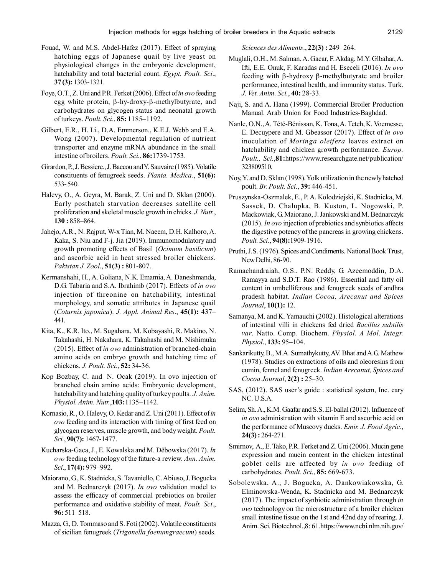- Fouad, W. and M.S. Abdel-Hafez (2017). Effect of spraying hatching eggs of Japanese quail by live yeast on physiological changes in the embryonic development, hatchability and total bacterial count. *Egypt. Poult. Sci*., **37 (3):** 1303-1321.
- Foye, O.T., Z. Uni and P.R. Ferket (2006). Effect of *in ovo* feeding egg white protein,  $\beta$ -hy-droxy- $\beta$ -methylbutyrate, and carbohydrates on glycogen status and neonatal growth of turkeys. *Poult. Sci*., **85:** 1185–1192.
- Gilbert, E.R., H. Li., D.A. Emmerson., K.E.J. Webb and E.A. Wong (2007). Developmental regulation of nutrient transporter and enzyme mRNA abundance in the small intestine of broilers. *Poult. Sci.*, **86:**1739-1753.
- Girardon, P., J. Bessiere., J. Baccou and Y. Sauvaire (1985). Volatile constituents of fenugreek seeds. *Planta. Medica*., **51(6):** 533- 540.
- Halevy, O., A. Geyra, M. Barak, Z. Uni and D. Sklan (2000). Early posthatch starvation decreases satellite cell proliferation and skeletal muscle growth in chicks. *J. Nutr.*, **130 :** 858–864.
- Jahejo, A.R., N. Rajput, W-x Tian, M. Naeem, D.H. Kalhoro, A. Kaka, S. Niu and F-j. Jia (2019). Immunomodulatory and growth promoting effects of Basil (*Ocimum basilicum*) and ascorbic acid in heat stressed broiler chickens. *Pakistan J. Zool*., **51(3) :** 801-807.
- Kermanshahi, H., A. Goliana, N.K. Emamia, A. Daneshmanda, D.G. Tabaria and S.A. Ibrahimb (2017). Effects of *in ovo* injection of threonine on hatchability, intestinal morphology, and somatic attributes in Japanese quail (*Coturnix japonica*). *J. Appl. Animal Res*., **45(1):** 437– 441.
- Kita, K., K.R. Ito., M. Sugahara, M. Kobayashi, R. Makino, N. Takahashi, H. Nakahara, K. Takahashi and M. Nishimuka (2015). Effect of *in ovo* administration of branched-chain amino acids on embryo growth and hatching time of chickens. *J. Poult. Sci*., **52:** 34**-**36.
- Kop Bozbay, C. and N. Ocak (2019). In ovo injection of branched chain amino acids: Embryonic development, hatchability and hatching quality of turkey poults. *J. Anim. Physiol. Anim. Nutr.*,**103:**1135–1142.
- Kornasio, R., O. Halevy, O. Kedar and Z. Uni (2011). Effect of *in ovo* feeding and its interaction with timing of first feed on glycogen reserves, muscle growth, and body weight. *Poult. Sci.*, **90(7):** 1467-1477.
- Kucharska-Gaca, J., E. Kowalska and M. Dêbowska (2017). *In ovo* feeding technology of the future-a review. *Ann. Anim. Sci*., **17(4):** 979–992.
- Maiorano, G., K. Stadnicka, S. Tavaniello, C. Abiuso, J. Bogucka and M. Bednarczyk (2017). *In ovo* validation model to assess the efficacy of commercial prebiotics on broiler performance and oxidative stability of meat. *Poult. Sci*., **96:** 511–518.
- Mazza, G., D. Tommaso and S. Foti (2002). Volatile constituents of sicilian fenugreek (*Trigonella foenumgraecum*) seeds.

*Sciences des Aliments*., **22(3) :** 249–264.

- Muglali, O.H., M. Salman, A. Gacar, F. Akdag, M.Y. Glbahar, A. Ifti, E.E. Onuk, F. Karadas and H. Eseceli (2016). *In ovo* feeding with  $\beta$ -hydroxy  $\beta$ -methylbutyrate and broiler performance, intestinal health, and immunity status. Turk. *J. Vet. Anim. Sci.*, **40:** 28-33.
- Naji, S. and A. Hana (1999). Commercial Broiler Production Manual. Arab Union for Food Industries-Baghdad.
- Nanle, O.N., A. Tété-Bénissan, K. Tona, A. Teteh, K. Voemesse, E. Decuypere and M. Gbeassor (2017). Effect of *in ovo* inoculation of *Moringa oleifera* leaves extract on hatchability and chicken growth performance. *Europ. Poult., Sci.*,**81:**https://www.researchgate.net/publication/ 323809510.
- Noy, Y. and D. Sklan (1998). Yolk utilization in the newly hatched poult. *Br. Poult. Sci*., **39:** 446-451.
- Pruszynska-Oszmalek, E., P. A. Kolodziejski, K. Stadnicka, M. Sassek, D. Chalupka, B. Kuston, L. Nogowski, P. Mackowiak, G. Maiorano, J. Jankowski and M. Bednarczyk (2015). *In ovo* injection of prebiotics and synbiotics affects the digestive potency of the pancreas in growing chickens. *Poult. Sci.*, **94(8):**1909-1916.
- Pruthi, J.S. (1976). Spices and Condiments. National Book Trust, New Delhi, 86-90.
- Ramachandraiah, O.S., P.N. Reddy, G. Azeemoddin, D.A. Ramayya and S.D.T. Rao (1986). Essential and fatty oil content in umbelliferous and fenugreek seeds of andhra pradesh habitat. *Indian Cocoa, Arecanut and Spices Journal*, **10(1):** 12.
- Samanya, M. and K. Yamauchi (2002). Histological alterations of intestinal villi in chickens fed dried *Bacillus subtilis var*. Natto. Comp. Biochem. *Physiol. A Mol. Integr. Physiol*., **133:** 95–104.
- Sankarikutty, B., M.A. Sumathykutty, AV. Bhat and A.G. Mathew (1978). Studies on extractions of oils and oleoresins from cumin, fennel and fenugreek. *Indian Arecanut, Spices and Cocoa Journal*, **2(2) :** 25–30.
- SAS, (2012). SAS user's guide : statistical system, Inc. cary NC. U.S.A.
- Selim, Sh. A., K.M. Gaafar and S.S. El-ballal (2012). Influence of *in ovo* administration with vitamin E and ascorbic acid on the performance of Muscovy ducks. *Emir. J. Food Agric*., **24(3) :** 264-271.
- Smirnov, A., E. Tako, P.R. Ferket and Z. Uni (2006). Mucin gene expression and mucin content in the chicken intestinal goblet cells are affected by *in ovo* feeding of carbohydrates. *Poult. Sci*., **85:** 669-673.
- Sobolewska, A., J. Bogucka, A. Dankowiakowska, G. Elminowska-Wenda, K. Stadnicka and M. Bednarczyk (2017). The impact of synbiotic administration through *in ovo* technology on the microstructure of a broiler chicken small intestine tissue on the 1st and 42nd day of rearing. J. Anim. Sci. Biotechnol.,8: 61.https://www.ncbi.nlm.nih.gov/